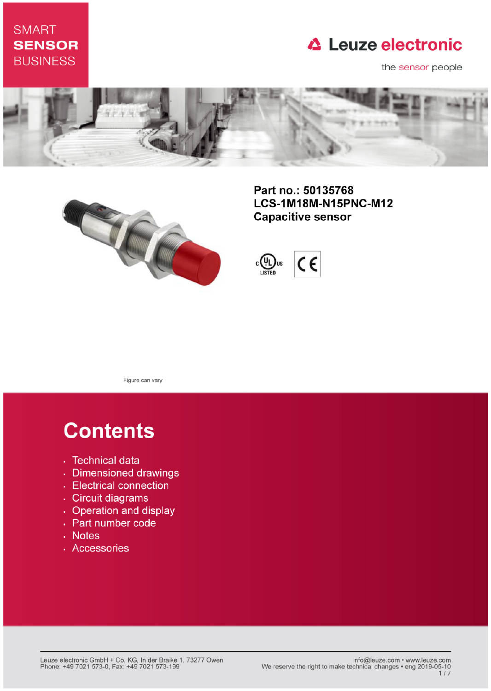### **SMART SENSOR BUSINESS**

### **△ Leuze electronic**

the sensor people





Part no.: 50135768 LCS-1M18M-N15PNC-M12 **Capacitive sensor** 



Figure can vary

# **Contents**

- · Technical data
- · Dimensioned drawings
- Electrical connection
- · Circuit diagrams
- Operation and display
- Part number code
- Notes
- · Accessories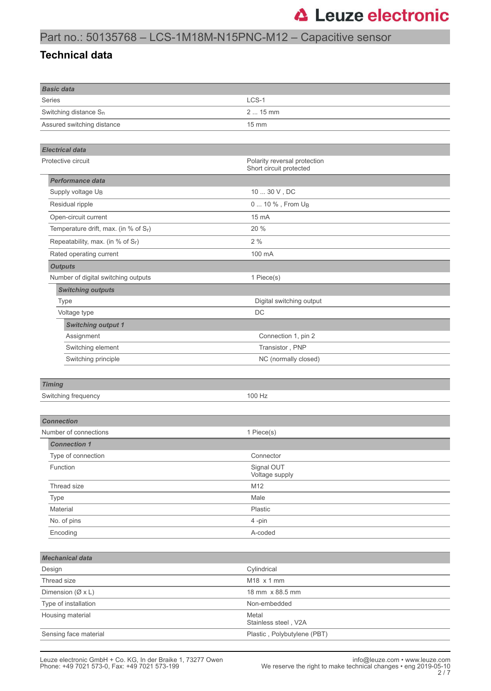### Part no.: 50135768 – LCS-1M18M-N15PNC-M12 – Capacitive sensor

#### **Technical data**

| <b>Basic data</b>                    |                                                         |  |
|--------------------------------------|---------------------------------------------------------|--|
| Series                               | LCS-1                                                   |  |
| Switching distance S <sub>n</sub>    | 2  15 mm                                                |  |
| Assured switching distance           | 15 mm                                                   |  |
|                                      |                                                         |  |
|                                      |                                                         |  |
| <b>Electrical data</b>               |                                                         |  |
| Protective circuit                   | Polarity reversal protection<br>Short circuit protected |  |
| <b>Performance data</b>              |                                                         |  |
| Supply voltage UB                    | $1030$ V , DC                                           |  |
| Residual ripple                      | 0  10 %, From U <sub>B</sub>                            |  |
| Open-circuit current                 | 15 mA                                                   |  |
| Temperature drift, max. (in % of Sr) | 20 %                                                    |  |
| Repeatability, max. (in % of Sr)     | 2%                                                      |  |
| Rated operating current              | 100 mA                                                  |  |
| <b>Outputs</b>                       |                                                         |  |
| Number of digital switching outputs  | 1 Piece(s)                                              |  |
| <b>Switching outputs</b>             |                                                         |  |
| <b>Type</b>                          | Digital switching output                                |  |
| Voltage type                         | DC                                                      |  |
| <b>Switching output 1</b>            |                                                         |  |
| Assignment                           | Connection 1, pin 2                                     |  |
| Switching element                    | Transistor, PNP                                         |  |
| Switching principle                  | NC (normally closed)                                    |  |
|                                      |                                                         |  |
| <b>Timing</b>                        |                                                         |  |
| Switching frequency                  | 100 Hz                                                  |  |
|                                      |                                                         |  |
| <b>Connection</b>                    |                                                         |  |
| Number of connections                | 1 Piece(s)                                              |  |
| <b>Connection 1</b>                  |                                                         |  |
| Type of connection                   | Connector                                               |  |
| Function                             | Signal OUT<br>Voltage supply                            |  |
| Thread size                          | M12                                                     |  |
| Type                                 | Male                                                    |  |
| Material                             | Plastic                                                 |  |
| No. of pins                          | 4-pin                                                   |  |
| Encoding                             | A-coded                                                 |  |
|                                      |                                                         |  |
| <b>Mechanical data</b>               |                                                         |  |
| Design                               | Cylindrical                                             |  |
| Thread size                          | M18 x 1 mm                                              |  |
| Dimension (Ø x L)                    | 18 mm x 88.5 mm                                         |  |
| Type of installation                 | Non-embedded                                            |  |
| Housing material                     | Metal<br>Stainless steel, V2A                           |  |
| Sensing face material                | Plastic, Polybutylene (PBT)                             |  |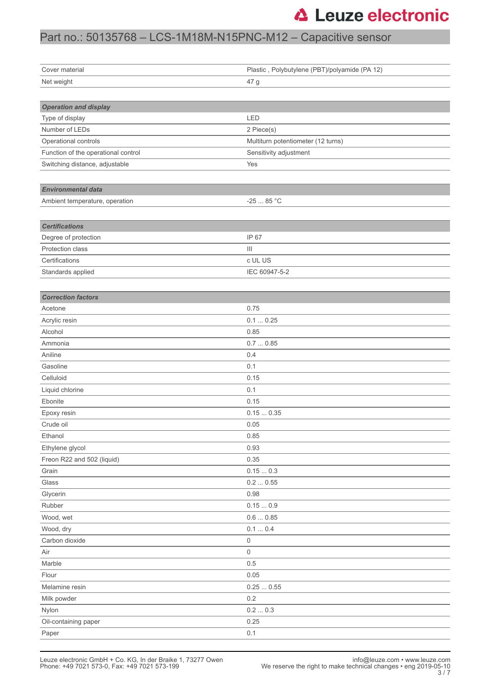### Part no.: 50135768 – LCS-1M18M-N15PNC-M12 – Capacitive sensor

| Cover material                      | Plastic, Polybutylene (PBT)/polyamide (PA 12) |  |  |
|-------------------------------------|-----------------------------------------------|--|--|
| Net weight                          | 47 g                                          |  |  |
|                                     |                                               |  |  |
| <b>Operation and display</b>        |                                               |  |  |
| Type of display                     | LED                                           |  |  |
| Number of LEDs                      | 2 Piece(s)                                    |  |  |
| Operational controls                | Multiturn potentiometer (12 turns)            |  |  |
| Function of the operational control | Sensitivity adjustment                        |  |  |
| Switching distance, adjustable      | Yes                                           |  |  |
|                                     |                                               |  |  |
| <b>Environmental data</b>           |                                               |  |  |
| Ambient temperature, operation      | $-2585 °C$                                    |  |  |
|                                     |                                               |  |  |
| <b>Certifications</b>               |                                               |  |  |
| Degree of protection                | IP 67                                         |  |  |
| Protection class                    | Ш                                             |  |  |
| Certifications                      | c UL US                                       |  |  |
| Standards applied                   | IEC 60947-5-2                                 |  |  |
|                                     |                                               |  |  |
| <b>Correction factors</b>           |                                               |  |  |
| Acetone                             | 0.75                                          |  |  |
| Acrylic resin                       | 0.10.25                                       |  |  |
| Alcohol                             | 0.85                                          |  |  |
| Ammonia                             | 0.70.85                                       |  |  |
| Aniline                             | 0.4                                           |  |  |
| Gasoline                            | 0.1                                           |  |  |
| Celluloid                           | 0.15                                          |  |  |
| Liquid chlorine                     | 0.1                                           |  |  |
| Ebonite                             | 0.15                                          |  |  |
| Epoxy resin                         | 0.150.35                                      |  |  |
| Crude oil                           | 0.05                                          |  |  |
| Ethanol                             | 0.85                                          |  |  |
| Ethylene glycol                     | 0.93                                          |  |  |
| Freon R22 and 502 (liquid)          | 0.35                                          |  |  |
| Grain                               | 0.150.3                                       |  |  |
| Glass                               | 0.20.55                                       |  |  |
| Glycerin                            | 0.98                                          |  |  |
| Rubber                              | 0.150.9                                       |  |  |
| Wood, wet                           | $0.6\,\ldots\,0.85$                           |  |  |
| Wood, dry                           | 0.1  0.4                                      |  |  |
| Carbon dioxide                      | 0                                             |  |  |
| Air                                 | 0                                             |  |  |
| Marble                              | 0.5                                           |  |  |
| Flour                               | 0.05                                          |  |  |
| Melamine resin                      | 0.250.55                                      |  |  |
| Milk powder                         | 0.2                                           |  |  |
| Nylon                               | 0.20.3                                        |  |  |
| Oil-containing paper                | 0.25                                          |  |  |
| Paper                               | 0.1                                           |  |  |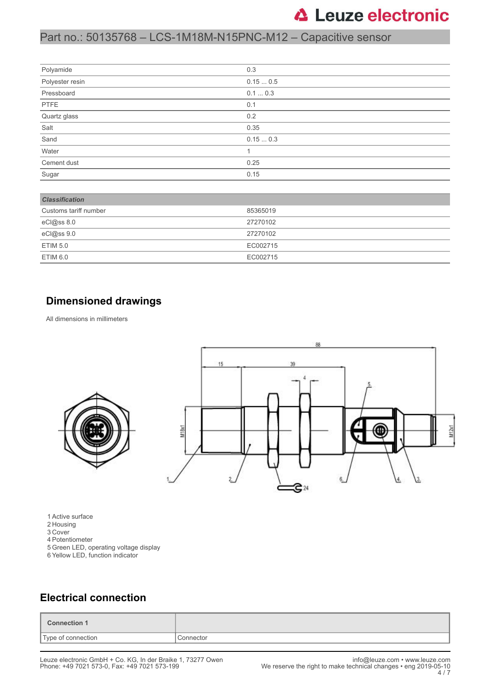### Part no.: 50135768 – LCS-1M18M-N15PNC-M12 – Capacitive sensor

| Polyamide       | 0.3     |
|-----------------|---------|
| Polyester resin | 0.150.5 |
| Pressboard      | 0.10.3  |
| PTFE            | 0.1     |
| Quartz glass    | 0.2     |
| Salt            | 0.35    |
| Sand            | 0.150.3 |
| Water           |         |
| Cement dust     | 0.25    |
| Sugar           | 0.15    |

| <b>Classification</b> |          |
|-----------------------|----------|
| Customs tariff number | 85365019 |
| eCl@ss 8.0            | 27270102 |
| eCl@ss 9.0            | 27270102 |
| ETIM 5.0              | EC002715 |
| ETIM 6.0              | EC002715 |

#### **Dimensioned drawings**

All dimensions in millimeters



1 Active surface

- 2 Housing
- 3 Cover
- 4 Potentiometer
- 5 Green LED, operating voltage display
- 6 Yellow LED, function indicator

#### **Electrical connection**

| Connection 1       |           |
|--------------------|-----------|
| Type of connection | Connector |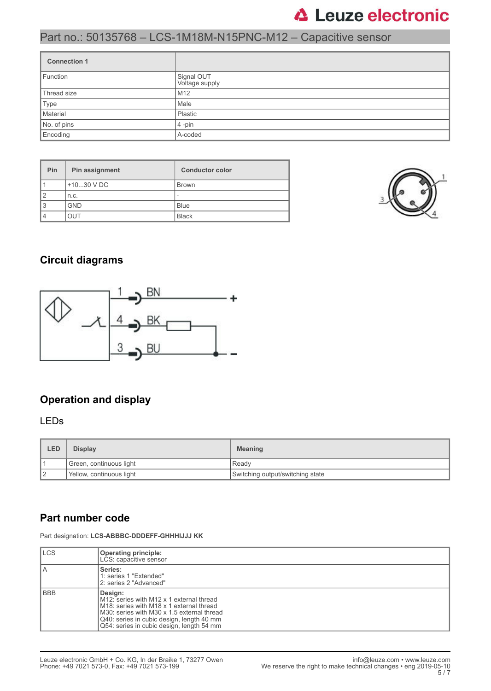#### Part no.: 50135768 – LCS-1M18M-N15PNC-M12 – Capacitive sensor

| <b>Connection 1</b> |                              |  |
|---------------------|------------------------------|--|
| Function            | Signal OUT<br>Voltage supply |  |
| Thread size         | M <sub>12</sub>              |  |
| Type                | Male                         |  |
| Material            | Plastic                      |  |
| No. of pins         | $4$ -pin                     |  |
| Encoding            | A-coded                      |  |

| Pin | Pin assignment | <b>Conductor color</b>   |
|-----|----------------|--------------------------|
|     | $+1030$ V DC   | <b>Brown</b>             |
| 2   | n.c.           | $\overline{\phantom{a}}$ |
| 3   | <b>GND</b>     | <b>Blue</b>              |
| 4   | TUC            | <b>Black</b>             |



#### **Circuit diagrams**



#### **Operation and display**

#### LEDs

| LED | <b>Display</b>           | <b>Meaning</b>                   |
|-----|--------------------------|----------------------------------|
|     | Green, continuous light  | l Readv                          |
| 12  | Yellow, continuous light | Switching output/switching state |

#### **Part number code**

Part designation: **LCS-ABBBC-DDDEFF-GHHHIJJJ KK**

| <b>ILCS</b> | Operating principle:<br>LCS: capacitive sensor                                                                                                                                                                                                                   |
|-------------|------------------------------------------------------------------------------------------------------------------------------------------------------------------------------------------------------------------------------------------------------------------|
| l A         | Series:<br>1: series 1 "Extended"<br>2: series 2 "Advanced"                                                                                                                                                                                                      |
| l BBB       | Design:<br>M12: series with M12 x 1 external thread<br>M <sub>18</sub> : series with M <sub>18</sub> x 1 external thread<br>M30: series with M30 x 1.5 external thread<br>Q40: series in cubic design, length 40 mm<br>Q54: series in cubic design, length 54 mm |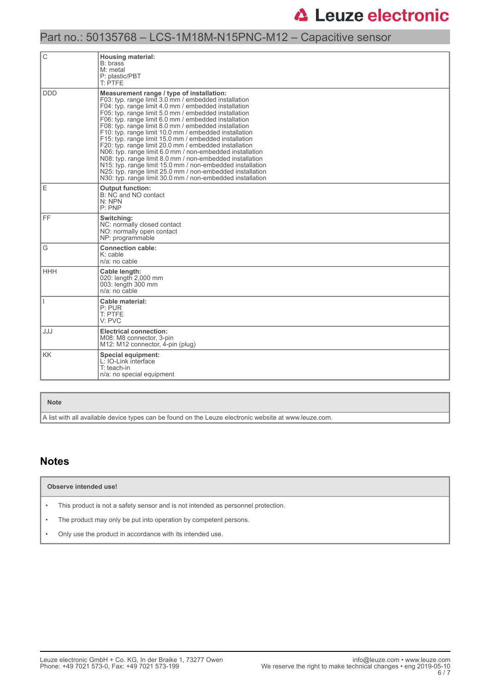### Part no.: 50135768 – LCS-1M18M-N15PNC-M12 – Capacitive sensor

| С          | <b>Housing material:</b><br>B: brass<br>$M:$ metal<br>P: plastic/PBT<br>T: PTFE                                                                                                                                                                                                                                                                                                                                                                                                                                                                                                                                                                                                                                                                                                                                             |
|------------|-----------------------------------------------------------------------------------------------------------------------------------------------------------------------------------------------------------------------------------------------------------------------------------------------------------------------------------------------------------------------------------------------------------------------------------------------------------------------------------------------------------------------------------------------------------------------------------------------------------------------------------------------------------------------------------------------------------------------------------------------------------------------------------------------------------------------------|
| <b>DDD</b> | Measurement range / type of installation:<br>F03: typ. range limit 3.0 mm / embedded installation<br>F04: typ. range limit 4.0 mm / embedded installation<br>F05: typ. range limit 5.0 mm / embedded installation<br>F06: typ. range limit 6.0 mm / embedded installation<br>F08: typ. range limit 8.0 mm / embedded installation<br>F10: typ. range limit 10.0 mm / embedded installation<br>F15: typ. range limit 15.0 mm / embedded installation<br>F20: typ. range limit 20.0 mm / embedded installation<br>N06: typ. range limit 6.0 mm / non-embedded installation<br>N08: typ. range limit 8.0 mm / non-embedded installation<br>N15: typ. range limit 15.0 mm / non-embedded installation<br>N25: typ. range limit 25.0 mm / non-embedded installation<br>N30: typ. range limit 30.0 mm / non-embedded installation |
| E          | <b>Output function:</b><br>B: NC and NO contact<br>N: NPN<br>P:PNP                                                                                                                                                                                                                                                                                                                                                                                                                                                                                                                                                                                                                                                                                                                                                          |
| FF.        | Switching:<br>NC: normally closed contact<br>NO: normally open contact<br>NP: programmable                                                                                                                                                                                                                                                                                                                                                                                                                                                                                                                                                                                                                                                                                                                                  |
| G          | <b>Connection cable:</b><br>$K:$ cable<br>$n/a$ : no cable                                                                                                                                                                                                                                                                                                                                                                                                                                                                                                                                                                                                                                                                                                                                                                  |
| HHH        | Cable length:<br>020: length 2,000 mm<br>003: length 300 mm<br>$n/a$ : no cable                                                                                                                                                                                                                                                                                                                                                                                                                                                                                                                                                                                                                                                                                                                                             |
|            | Cable material:<br>P: PUR<br>T: PTFE<br>V: PVC                                                                                                                                                                                                                                                                                                                                                                                                                                                                                                                                                                                                                                                                                                                                                                              |
| JJJ        | <b>Electrical connection:</b><br>M08: M8 connector, 3-pin<br>M12: M12 connector, 4-pin (plug)                                                                                                                                                                                                                                                                                                                                                                                                                                                                                                                                                                                                                                                                                                                               |
| <b>KK</b>  | Special equipment:<br>L: IO-Link interface<br>T: teach-in<br>n/a: no special equipment                                                                                                                                                                                                                                                                                                                                                                                                                                                                                                                                                                                                                                                                                                                                      |

#### **Note**

A list with all available device types can be found on the Leuze electronic website at www.leuze.com.

#### **Notes**

**Observe intended use!**

• This product is not a safety sensor and is not intended as personnel protection.

• The product may only be put into operation by competent persons.

• Only use the product in accordance with its intended use.